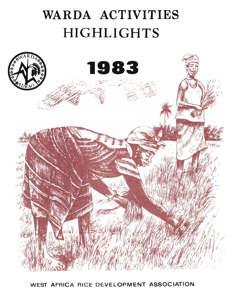# WARDA ACTIVITIES **HIGHLIGHTS**



WEST AFRICA RICE DEVELOPMENT ASSOCIATION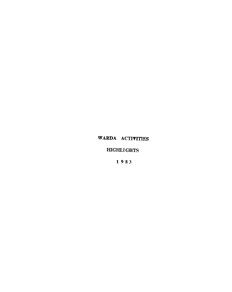## WARDA ACTIVITIES

 $\sim 10^{-1}$ 

## **HIGHLIGHTS**

1 983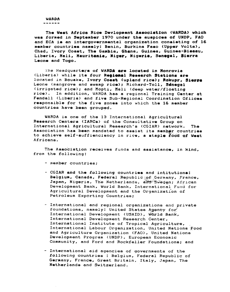**WARDA** ------

The West Africa Rice Devlopment Association (WARDA) which was formed in September 1970 under the auspices of UNDP, FAO and ECA is an intergovernmental organization consisting of 16 member countries namely: Benin, Burkina Faso (Upper Volta), Chad, Ivory Coast, The Gambia, Ghana, Guinea, Guinea-Bisaau, Liberia, Mali, Mauritania, Niger, Nigeria, Senegal, Sierra Leone and Togo.

The Headquarters of WARDA are located in Monrovia (Liberia) while its four Resional Research Stations are located in Bouake, Ivory Coast (upland rice); Rokupr, Sierra Leone (mangrove and swamp rice); Richard-Toll, Sdnegal (irrigated rice); and Mopti, Mali (deep water/floating rice). In addition, WARDA has a regional Training Center at Fendall (Liberia) and five Sub-Regional Coordination Ofiices responsible for the five zones into which the 16 member countries have been grouped.

WARDA is one of the 13 International Agricultural Research Centers (IARCs) of the Consultative Group on International Agricultural Research's (CGIAR) network. **The** Association has been mandated to assist its member countries to achieve self-suffienciency in rice, a staple food of West Africans.

The Association receives funds and assistance, in kind, from the following:

- member countries;
- CGIAR and the following countries and intitutions: Belgium, Canada, Federal Republic of Germany, France, Japan, Nigeria, The Netherlands, and Sweden; African Development Bank, World Bank, International Fund for Agricultural Development and the Organization of Petroleum Exporting Countries:
- International and regional organizations and private foundations, namely: United States Agency for International Development (USAID), Warld Bank, International Development Research Center, International Institute of Tropical Agriculture, International Labour Organization, United Nations Food and Agriculture Organization (FAO), United Nations Development Program (UNDP), European Economic Community, and Ford and Rockfeller Foundations; and
- International aid agencies of governments of the following countries : Belgium, Federal Republic of Germany, France, Great Britain, Italy, Japan, The Netherlands and Switzerland.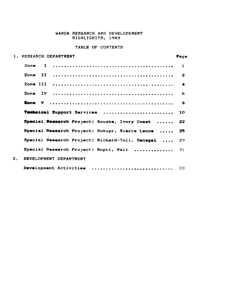## WARDA RESEARCH AND DEVELOPEMENT HIGHLIGHITS, 1983

## TABLE OF CONTENTS

| 1. RESEARCH DEPARTMENT                          | Page                    |
|-------------------------------------------------|-------------------------|
| Zone                                            | $\mathbf{1}$            |
|                                                 | $\overline{\mathbf{z}}$ |
|                                                 | $\blacktriangleleft$    |
|                                                 | 6                       |
|                                                 | 8                       |
| Technical Support Services  10                  |                         |
| Special Research Project: Bouake, Ivory Coast   | 22                      |
| Special Research Project: Rokupr, Sierra Leone  | 25                      |
| Special Research Project: Richard-Toll, Senegal | 29                      |
| Special Research Project: Mopti, Mali           | $\overline{31}$         |
| $\mathbf{2}$ .<br>DEVELOPMENT DEPARTMENT        |                         |
| Development Activities  33                      |                         |

 $\sim 10^{-1}$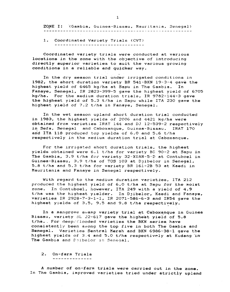ZONE I: (Gambia, Guinea-Bissau, Mauritania, Senegal)

1. Coordinated Variety Triala (CVT)

Coordinated variety trials were conducted at various locations in the zone with the objective of introducing directly superior varieties to suit the various growing conditions *in* a reliable and quicker way.

In the dry season trial under irrigated conditions in 1982, the short duration variety BR 541-BKN 19-3-4 gave the highest yield of 6465 kg/ha at Sapu in The Gambia. In Fanaye, Senegal, IR 2823-399-5 gave the highest yield of 6705 kg/ha. For the medium duration trials, IR 9782-144-3 gave the highest yield of 5.3 t/ha in Sapu while ITA 230 gave the highest yield of 7.2 t/ha in Fanaye, Senegal.

In the wet season upland short duration trial conducted in 1983, the highest yields of 2006 and 4421 'kg/ha were obtained from varieties IRAT 144 and DJ 12-539-2 respectively<br>in Sefa, Senegal and Caboxanque, Guinea-Bissau. IRAT 170 in Sefa, Senegal and Caboxanque, Guinea-Bissau. and ITA 118 produced top yields of 6.0 and 5.6 t/ha respectively in the medium duration trial at Caboxanque.

For the irrigated short duration trials. the highest yields obtained were 6.1 t/ha for variety BG 90-2 at Sapu in The Gambia, 3.9 t/ha for variety 32-XUAN-5-D at Contuboel in Guinea-Bissau, 3.9 t/ha of TOS 103 at Djibelor in Senegal, 5.8 t/ha and 5.3 t/ha for variety BR 161-2B 53 at Kaedi in Mauritania and Fanaye in Senegal respectively.

With regard to the medium duration varieties, ITA 212 produced the highest yield of 6.0 t/ha at Sapu for the moist zone. In Contuboel, however, ITA 249 with a yield of 4.9 t/ha was the highest yielder. In Djibelor, Kaedi and Fanaye, varieties IR 2928-7-3~1-1, IR 2071-586-6-3 and IR54 gave the highest yields of 3.5, 9.5 and 9.8 t/ha respectively.

In a mangrove swamp variety trial~t Cabox~nque *in* Guinea Bissau, variety SL 22-617 gave the highest yield of 5.8 t/ha. For deep/flooded varieties the BKN series have consistently been among the top five in both The Gambia and Senegal. Varieties Sentral Merah and BKN 6986-38-1 gave the highest yields of 3.4 and 5.0 t/ha respectively at Kudang in The Gambia and D;ibelor in Senegal.

2. On-farm Trials --------------

A number of on-farm trials were carried out in the zone. In The Gambia, improved varieties tried under strictly upland

1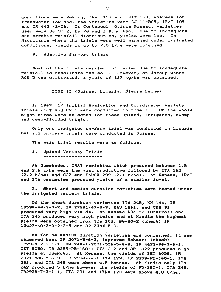conditions were Peking, IRAT 112 and IRAT 133, whereas for freshwater lowland, the varieties were DJ 11-509, IRAT 109 and IR 442 -2-58. In Contuboel, Guinea Bissau, varieties used were BG 90-2, BW 78 and I Kong Pao. Due to inadequate and erratic rainfall distribution, *yields* were low. In Mauritania where the trials were well managed under irrigated conditions, yields of up to 7.0 t/ha were obtained.

# 3. Adaptive farmers trials

Most of the trials carried out failed due to inadequate rainfall to desalinate the soil. However, at Jareup where ROK 5 was cultivated, a yield of 827 kg/ha was obtained.

ZONE II (Guinea, Liberia, Sierra Leone)

In 1983, 17 Initial Evaluation and Coordinated Variety Trials (lET and CVT) were conducted *in* zone II. On the whole eight sites were selected for these upland, irrigated, swamp and deep-flooded trials.

Only one irrigated on-farm trial was conducted in Liberia but six on-farm trials were conducted in Guinea.

The main trial results were as follows:

1. Upland Variety Trials ----------------------

At Gueckedou, IRAT varieties which produced between 1.S and  $2.6$  t/ha were the most productive followed by ITA 162 (2.2 t/he) end C22 end FAROX 299 <2.1 t/ha). At Kenema, lRAT and ITA variaties produced yields of a similar level.

2. Short and medium duration varieties were tested under the irrigated variety trials.

Of the short duration varieties ITA 245, KN 144, IR 13538-48-2-3-2, IR 27931-47-3-3, KAU 1661, and CNM 31 produced very high yields. At Kenema ROK 12 (Control) and ITA 245 produced very high yields and at Kindia the highest yields were obtained from TOs 103, BG-90-2 (check) IR 13427-40-3-3-2-3-5 and 32 ZUAN 5-D.

As far as medium duration varieties are concerned, it was observed that IR 2071-5-6-3, improved Mahsuri (ckeck)  $IR2928-7-3-1-1, BV 248-1-2071-556-5-6-3, IR 4422-98-3-6-1,$ lET 6050, IR 3259-PS-160-1 ITA 212 and CR 1022 produced high yields at Suakoko. At Kenema, the yields of IET 6056, IR 2071-586-5-6-3, IR 2928-7-31 ITA 123, IR 3259-P5-160-1, ITA 231, and ITA 249 were above 4.5 tonnes. At Kindia only ITA 242 produced 5 t/ha however the yields of  $P5-160-1$ , ITA 249, IR2928-7-3-1-1, ITA 231 and ITRA 123 were above 4.0 t/ha.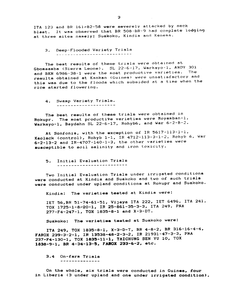ITA 123 and BR 161-B2-58 were severely attacked by neck blast. It was observed that BR 508-BR-9 had complete lodging at three sites namely: Suakoko, Kindia and Kenema.

3. Deep-Flooded Variety Trials -- --- -------- ~- --- --

The best results of these trials were obtained at Gbomsamba (Sierra Leone). SL 22-6-17, Warkayo-1, ANDY 301 and BKN 6986-38-1 were the most productive varieties. results obtained at Kankan (Guinea) were unsatisfactory and this was due to the floods which subsided at a time when the rice started flowering.

4. Swamp Variety Trials.

The best results of these trials were obtained *in*  Rokupr. The most productive varieties were Moyamban-1. Warkayo-1, Boydahn SL 22-6-17. Rohyb6. and War 6-2-8-2.

At Sonfonia, with the exception of IR 5617-113-1-1. Kaolack (control)~ Rohyb 1-1, IR 4712-113-3-1-2. Rohyb 6. War 6-2-13-2 and lR-4707-140-1~3. the other varieties were auaceptible to soil salinity and iron toxicity.

5. Initial Evaluation Trials

Two Initial Evaluation Trials under irrigated conditions were conducted at Kindia and Suakoko and two of such trials were conducted under upland conditions at Rokupr and Suakoko.

Kindia: The varieties tested at Kindia were:

lET 56,BR 51~74-61-51, ViJaya ITA 222, lET 6496. ITA 241. TOX 1725-1-8-20-1, IR 25-861-35-3-3, ITA 249, PNA 277-F4-247-1, TOX 1S35~8-1 and X-3-DT.

Suakoko: The varieties tested at Suakoko were:

ITA 249, TOX 1835-8-1, X-3-D-T, BR 4-8-2, 8R 316-16-4-4, FAROX 239-3-2-1, IR 13S38-48-2-3~2, IR 21931-47-3-3, PNA 237-F4-130-1, TOX 1835-11-1, TAICHUNG SEN YU 10, TOX 1838-9-1, BR 4-34-13-5, FAROX 233-6-2, etc.

3.4 On-farm Trials --------------

On the whole, six trials were conducted in Guinea, four in Liberia (3 under upland and one under irrigated condition).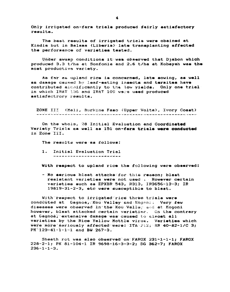Only irrigated on-farm trials produced fairly satisfactory results.

The best results of irrigated trials were obained at Kindia but in Balama (Liberia) late transplanting affected the performance of variaties tested.

Under swamp conditions it was observed that Diabon which produced 3.3 t/ha at Sonfonia and 2.6 t/ha at Kobayah was the most productive variety.

As far as upland rice is concerned, late sowing, as well as damage caused by leaf-eating insects and termites have contributed sighificantly to the low yields. Only one trial in which IRAT 136 and IRAT 102 were used produced satisfactrory results.

ZONE III (Mali, Burkina Faso (Upper Volta), Yvory Coast) வையில் மிபியிலியையில் மிபியியையை விவியைப் பி*யியில் விவியியி*ல் வழங்கியில் தியினையில் என்னையை விவியினையை நடைவின் எ

On the whole, 28 Initial Evaluation and Coordinated Variety Tricls as well as 151 on-farm trials were conducted in Zone III.

The results were as follows:

1. Initial Evaluation Trial 

With respect to upland rice the following were observed:

- No serious blast attacks for this reason; blast resistant varieties were not used . However certain varieties such as EPXBR 543, R313, IR3656-13-3; IR 19819-31-2-3, etc were susceptible to blast.

With respect to irrigated rice three trials were condcuted at Gagnoa, Kou Valiey and Kogoni. Very few diseases were observed In the Kou Valley and at Kogoni however, blast attacked certain varieties. On the contrary at Gagnoa, extensive damage was caused to almost all varieties by the Rice Yellow Mottle virus. Varieties which Were more seriously affected were: ITA 212: BR 40-82-1/C 3:  $PK^{-1}$ 123-41-1-1-1 and BW 267-3.

Sheath rot was also observed on FAROX 231-1-1-1; FAROX 228-2-1; PK 81-104-1 IR 9698-16-3-3-2; DG 362-7; FAROX  $236 - 1 - 1 - 3$ .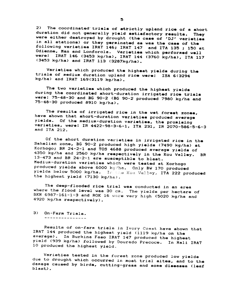2) The coordinated trials of strictly upland rice of a short duration did not generally yield satisfactory results. They were either destroyed by drought (the case of 'DJ' varieties in all stations) or they germinated as was the case of the following varieties IRAT 146; IRAT 147 and ITA 135 ; 150 at Odienne, Man and Lonforola. Varieties which performed well were: IRAT 146 (3453 kg/ha), IRAT 144 (3760 kg/he), ITA 117 (3453 kg/ha) and IRAT 113 (3287kg/he).

Varieties which produced the highest yields during the trials of medium duration upland rice were: ISA 6(3294 kg/ha) and IRAT 169(3119 kg/ha).

The two varieties which produced the highest yields during the coordinated short-duration irrigated rice trials were: 75-48-30 end BG 90-2 (BG 90-2 produced 7980 kg/he end 75-48-30 produced 8910 kg/hal.

The results of irrigated rice in the wet forest zones, have shown that short-duration varieties produced average yields. Of the medium-duration varieties, the promising varieties, were: IR 4422-98-3-6-1, ITA 231, IR 2070-586-5-6-3 and ITA 212.

Of the short duration varieties in irrigated rice in the Sahelian zone, BG 90-2 produced high yields (7490 kg/ha) at Korhogo; BR 24-2-1 and TOS 4688 produced average yields of 4350 kg/ha and 2560 kg/ha respectively in the Kou Valley. BR 13-473 and BR 24-2-1 are susceptible to blaat. Medium-duration varieties which were tested at Korhogo produced yields above 6000 kg/ha. Only BW 170 produced yields below 5000 kg/ha. In the Kou Valley, ITA 222 produced the highest yield (7130 kg/ha).

The deep-flooded rice trial was conducted in an area where the flood level was 30  $cm$ . The yields per hectare of BKN 6987-161-1-3 and ROK 16 ware very high (5020 kg/ha and 4920 kg/ha respectively).

3) On-Farm Trials.

Results of on-farm trials in Ivory Coast have shown that IRAT 144 produced the highest yield (1119 kg/ha on the average). In Burkina Faso IRAT 147 produced the highest yield (939 kg/ha) followed by Dourado Precoce. In Mali IRAT 10 produced the highest yield .

Varieties tested in the forest zone produced low yields due to drought which occurred in most trial sites, and to the damage caused by birds, cutting-grass and some diseases (leaf blast) •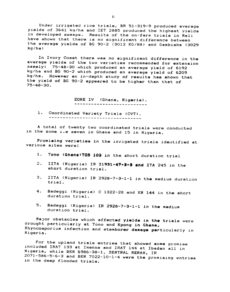Under irrigated rice trials, BR 51-319-9 produced average *yields* of 3641 kg/ha and lET 2885 produced the highest yields in developed swamps. Results of the on-farm trials in Mali have shown that there is no significant difference between the average yields of BG 90-2 (3012 KG/HA) and Gambiaka (3029 kg/ha)

In Ivory Coast there was no significant difference in the average yields of the two varieties recommended for extension<br>namely: 75-48-30 which produced an average vield of 6192 75-48-30 which produced an average yield of 6192 kg/ha and BG 90-2 which produced an average yield of 6209 kg/ha. However an in-depth study of results has shown that the yield of BG 90-2 appeared to be higher than that of 75-48-30.

> ZONE IV (Ghana, Nigeria). ---------------------------

1. Coordinated Variety Trials (CVT).

A total of twenty two coordinated trials were conducted *in* the zone *i.e* seven *in* Ghana and 15 *in* Nigeria.

Promising varieties in the irrigated trials identified at various sites were:

- 1. Tono (Ghene) TOS 103 in the short duration trial
- 2. IITA (Nigeria) IR 21931-47-3-3 and ITA 245 in the short duration trial.
- 3. IITA (Nigeria) IR 2928-7-3-1-1 in the medium duration erin vr<br>trial.
- 4. Badeggi (Nigeria) C 1322-28 and KN 144 in the short duration trial.
- 5. Badeggi (Nigeria) IR 2928-7-3-1-1 in the medium duration trial.

Major obstacles which affected yields in the trials were drought particularly at Tono and Kpong in Ghana, Rhyncosporium infection and stemborer damage particularly in Nigeria.

For the upland trials entries that showed eome promise included IRAT 133 at Ikenne and IRAT 144 at Ibadan all *in*  Nigeria, while BKN 6986-38-1. SENTRAL MERAH, IR 2071-586-5-6-3 and BKN 7022-10-1-4 were the promising entries *in* the deep flooded trials.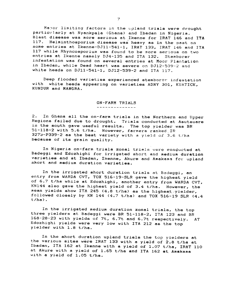Major limiting factors in the upland trials were drought particularly at Nyankpala (Ghana) and Ibadan in Nigeria.<br>Blast disease was more serious at Ikenne for IRAT 146 and ITA 117. Helminthosporium disease was heavy as in the past on some entries at Ikenne-D311-541-1, IRAT 133, IRAT 146 and ITA 117 while Rhyncosporium was found to be more serious on two entries at Ikenne namely D34-135 and ITA 132. Stemborer infestation was found on several entries at Moor Plantation in Ibadan, while Dead heart was severe on D312-539-2 and white heads on DJll-541-1, DJ12-539-2 and ITA 117.

Deep flooded varieties experienced stemborer infestation with white heads appearing on varieties ADNY 301, KUATICK, KUNDUR and MANGRA.

#### ON-FARM TRIALS --------------

2. In Ghana all the on-farm trials in the Northern and Upper Regions failed due to drought. Trials conducted at Asutsuare in the south gave useful results. The top yielder was BR 11 Into Super gave asset founds. The Cop yielder  $3273-$ P339-2 as the best variety with a yield of 3.6 t/ha because of its grain quality.

In Nigeria on-farm trials zonal triels were conducted at Badeggi and Edozhighi for irrigated short and medium duration varieties and at Ibadan, Ikenne, Akure and Amakama for upland short and medium duration varieties.

In the irrigated short duration trials at Badeggi, an entry from WARDA CVT, TOX 516-19-SLR gave the highest yield of 6.7 tlha while at Edozhighi, another entry from WARDA CVT, KN144 also gave the highest yield of 3.4 t/ha. However, the mean yields show ITA 245 (4.8 t/ha) as the highest yielder, followed closely by KN 144  $(4.7 \text{ t/ha})$  and TOX 516-19 SLR  $(4.4 \text{ t/fa})$ t/ha).

In the irrigated medium duration zonal trials, the top three yielders at Badeggi were BR 51-118-2, ITA 123 and BR 168-28-23 with yields of 7t, 6.7t and 6.7t respectively. AT Edozhighi yields were very low with ITA 212 as the top yielder with 1.8 t/ha.

In the short duration upland trials the top yielders at the various sites were IRAT 133 with a yield of 2.8 t/ha at Ibadan, ITA 162 at Ikenne with a yield of 1.07 t/ha, IRAT 110 at Akure with a yield of 1.65 t/ha and ITA 162 at Amakama with a yield of 1.05 t/ha.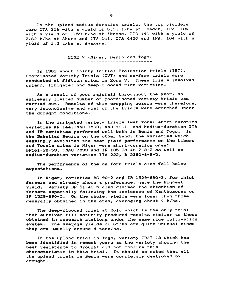In the upland medium duration trials, the top yielders were ITA 256 with a yield of 6.93 t/ha at Ibadan, IRAT 104 with a *yield* of 1.59 t/ha at Ikenne, ITA 141 with a yield of 2.62 t/ha at Akure and ITA 141, ITA 4420 and IRAT 104 with a *yield* of 1.2 t/ha at Amakama.

ZONE V (Niger, Benin and Togo)

In 1983 about thirty Initial Evaluation trials (IET), Coordinated Variety Trials (CVT) and on-farm trials were conducted at fifteen sJtes in Zone V. These trials involved upland, irrigated and deep-flooded rice varieties.

As a result of poor rainfall throughout the year, an extremely limited number of coordinated variety trials was carried out. Results of this cropping season were therefore, very inconclusive and most of the trials were scorched under the drought conditions.

In the irrigated variety trials (wet zone) short duration varieties KN 144, TNAU 7893, KAU 1661 and Medium-duration ITA and IR varieties performed well both in Benin and Togo. In the Sahelian Region on the other hand, the varieties which seemingly exhibited the best yield performance on the Libore and Touala sites in Niger were short-duration ones: 8R161-28-53, TNAU 7893 and IR 135-38-48-2-3-2 as well as medium-duration varieties ITA 222, B 2360-8-9-5.

The performance of the on-farm trials also fell below expectations.

In Niger, varieties BG 90-2 and IR 1529-680-3, for which farmers had already shown a preference, gave the highest yield. Variety BR 51-46-5 also claimed the attention of farmers especially following the incidence of Xanthomonas on IR 1529-690-5. On the whole, yields were lower than those generally obtained in the area, averaging about 4 t/ha.

The deep-flooded trial at Kolo which is the *only* trial that aurvived till maturity produced results similar to those obtained in research stations under the same rice cultivation system. The average yields of 6t/ha are quite unusual since they are uaually around 4 tons/ha.

In the upland trial in Togo, variety IRAT 13 which haa been identified in recent years as the variety showing the best resistance to drought did not confirm this characteriatic in this trial. It should be noted that all the upland trials in Benin were completely destroyed by drought.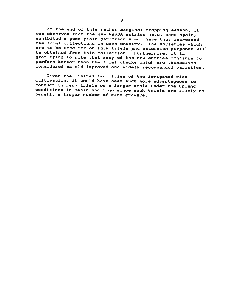At the end of this rather marginal cropping season, it was observed that the new WARDA entries have, once again, exhibited a good yield performance and have thus increased the local collections in each country. The varieties which are to be used for on-farm trials and extension purposes will be obtained from this collection. Furthermore, it is gratifying to note that many of the new entries continue to perform better than the local checks which are themselves considered as old improved and widely recommended varieties.

Given the limited facilities of the irrigated rice cultivation, it would have been much more advantageous to conduct On-Farm trials on a larger scale under the upland conditions in Benin and Togo since such trials are likely to benefit a larger number of rice-growers.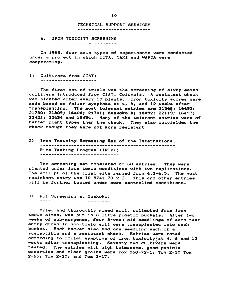TECHNICAL SUPPORT SERVICES ---------------------------

A. IRON TOXICITY SCREENING -----------------------

In 1983, four main types of experiments were conducted under a project in which IITA, CARI and WARDA were cooperating.

1) Cultivars from CIAT:

The first set of trials waa the screening of sixty-aeven cultivars introduced from CIAT, Colombia. A reaistant check was planted after every 10 plants. Iron toxicity scores were made based on foliar symptoms at 4, 8, and 12 weeks after  $transplanting.$  The most tolerant entries are  $21548; 16492;$ 21790; 21809; 16404; 21701; Suakoko &; 18452; 22119; 16497;  $22421$ ;  $22434$  and  $18454$ . Many of the tolerant entries were of. better plant types than the check. They also outyielded the check though they were not more resistant

2) Iron Toxicity Scr .. nin. Set o~ the International Rice Testing Program (IRTP);<br>---------------------------

The screening set consisted of 60 entries. They were planted under iron toxic conditions with two replications. The soil pH of the trial site ranged from 4.2-4.5. The most resistant entry was IR 5741-73-2-3. This and other entries will be further tested under more controlled conditions.

3> Pot Screening at Suakoko:

Dried and thoroughly mixed soil, collected from iron toxic sites, was put in 8-litre plastic buckets. After two weeks of sub-mergence, four 3-week old seedlings of each test entry grown in non-toxic soil were transplanted into each bucket. Each bucket also had one seedling each of a susceptible and a resistant check. Entries were rated according to foliar symptoms of iron toxicity at 4, 8 and 12 weeks after transplanting. Seventy-two cultivars were tested. The entries with high tolerance, good panicle exsertion and clean grains were Tox 960-72-1; Tom 2-30 Tom 2-65; Tom 2-20; and Tom 2-17.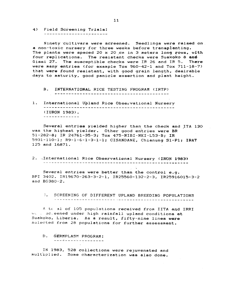4) Field Screening Trials:<br>-----------------------------~-----------------

Ninety cultivars were screened. Seedlings were raised on <sup>a</sup>non-toxic nursery for three weeks before transplanting. The plants were spaced 20 x 20 cm in 3 meters long rows, with four replications. The resistant checks were Suakoko 8 and Gissi 27. The susceptible checks were IR 26 and IR 5. There were many entries (for example Tox  $960-42-1$  and Tox  $711-18-7$ ) that were found resistant, with good grain length, desirable days to maturity, good panicle exsertion and plant-height.

- B. INTERNATIONAL RICE TESTING PROGRAM (IRTP)
- 1. International U~land Rice Obsez'vational Nursery (lURON 1983).

Several entries yielded higher than the check end ITA 130 was the highest yielder. Other good entries were BR 51-282-8: IR 24761-35-3: Tox 475-NIBI-NKI-L53-B: IR 5931-110-1; R9-1-6-1-3-1-1; CI5ANDANE. Chianung 51-P1: IRA; 125 and 16871.

2. International Rice Observational Nursery (IRON 1983)

Several entries were better than the control e.g. BPI 3402. IR19670-263-3-2-1, IR25560-132-2-3, lR25916015-3-2 and BG380-2.

. SCREENING OF DIFFERENT UPLAND BREEDING POPULATIONS 

A tc a1 of 105 populations received from IITA and IRRI WL . SCLeened under high rainfall upland conditions at Suakoko. Liberia. As a result, fifty-nine lines were selected from 28 populations for further assessment.

D. GERMPLASM PROGRAM:

---*---------------*

IN 1983, 528 collections were rejuvenated and multiplied. Some characterization was also done.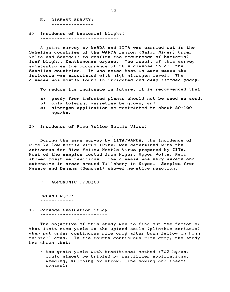- E. DISEASE SURVEY: ---------------
- 1) Incidence of bacterial blight:

A Joint survey by WARDA and IITA was carried out in the Sahelian countries of the WARDA region (Mali, Niger, Upper Volta and Senegal) to confirm the occurrence of bacterial leaf blight, Xanthomonas oryzae. The result of this survey substantiates the occurrence of this disease *in* all the Sahelian countries. It was noted that in some cases the incidence was associated with high nitrogen level. The disease was mostly found in irrigated and deep flooded paddy.

To reduce its incidence in future, it is recommended that

- a) paddy from infected plants should not be used as seed,
- b) only tolerant varieties be grown, and
- c) nitrogen application be restricted to about 80-100 kgs/ha.
- 2) Incidence of Rice Yellow Mottle Virus:

During the same survey by IITA/WARDA, the incidence of Rice Yellow Mottle Virus (RYMV) was determined with the antiserum for Rice Yellow Mottle Virus prepared by IITA. Most of the samples tested from Niger, Upper Volta, Mali showed positive reactions. The disease was very severe and extensive in areas around Tillabery in Niger. Samples from Fanaye and Dagana (Senegal) showed negative reaction.

F. AGRONOMIC STUDIES

-----------------

UPLAND RICE: ------------

1. Package Evaluation Study ------------------------

The objective of this study was to find out the factor(s) that limit rice yield in the upland soils (plinthic aerisols) when put under continuous rice crop after bush fallow in high rainfall area. In the fourth continuous rice crop, the study has shown that:

- the grain yield with traditional method (702 kg/ha) could almost be tripled by fertilizer applications, weeding, mulching by straw, line sowing and insect control;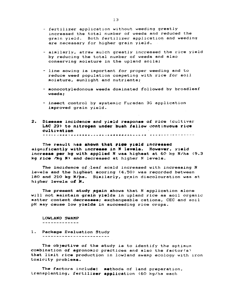- fertilizer application without weeding greatly increased the total number of weeds and reduced the grain yield. Both fertilizer application and weeding are necessary for higher grain yield.
- similarly, straw mulch greatly increased the rice yield by reducing the total number of weeds and also conserving moisture in the upland soils:
- line sowing is important for proper weeding and to reduce weed population competing with rice for soil moisture, sunlight and nutrients;
- monocotyledonous weeds dominated followed by broadleaf weeds;
- insect control by systemic Furadan 3G application improved grain yield.
- 2. Disease incidence and yield response of rice (cultivar LAC 23) to nitrogen under bush fallow continuous rice cultivation 多多发生用 上海国籍 可以已经按照假例 机行动机 人名巴斯特斯梅斯科利巴比亚古英语一类书言或文章文字文字文字文字文字

The result has shown that rice yield increased significantly with increase in N levels. However, yield increase per kg with applied N was highest at 60 kg N/ha (9.3 kg rice /kg N) and decreased at higher N levels.

The incidence of leaf scald increased with increasing N levels and the highest scoring (4.50) was recorded between 180 and 210 kg-N/ha. Similarly, grain discolouration was at higher levels of N.

The present study again shows that N application alone will not maintain grain yields in upland rice as soil organic matter content decreases; exchangeable cations, CEC and soil pH may cause low yielda in succeeding rice crops.

LOWLAND SWAMP

- -------------
- 1. Package Evaluation Study

The objective of the study is to identify the optimum combination of agronomic practices and also the factor(s) that limit rice production in lowland swamp ecology· with iron toxicity problems.

The factors include: methods of land preparation, transplanting, fertilizer application (60 kg/ha each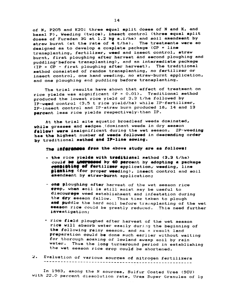of N, P205 and K20: three equal split doses of N and K, and basal P), Weeding (twice), insect control (three equal split doses of Furadan 3G at 1.2 kg a.i/ha) and soil amendment by straw burnt (at the rate of 4 t/ha). The treatments were so designed as to develop a complete package (CP = line transplanting, fertilizer, weed and insect control, straw burnt, first ploughing after harvest and second ploughing and puddling' before transplanting), and an intermediate package (IP = CP - first ploughing after harvest). The traditional method consisted of random transplanting, no fertilizer or insect control, one hand weeding, no straw-burnt application, and one ploughing and puddling before transplanting.

The trial results have shown that effect of treatment on rice yields was significant  $(P = 0.01)$ . Traditional method produced the lowest rice yield of 3.3 t/ha followed by IP-weed control (3.5 t rice yield/ha) while IP-fertilizer, IP-insect control and IP-straw burn produced 18, 14 and 13 percent less rice yields respectively than IP.

At the trial site aquatic broadleaf weeds dominated, while grasses and sedges (dominant weeds in dry season fellow) were insignificant during the wet season. IP-weeding has the highest number of weeds followed in descending order by traditional method and IP-line sowing.

The inferences from the above study are as follows:

- = the rice yields with traditional method (3.3 t/ha) could be intreseed by 40 percent by adopting a package consisting of fertilizer application, weeding, line gianting (for proper weeding), insect control and soil emendment by straw-burnt application;
- one ploughing after harvest of the wet season rice erop, when soil is still moist may be useful to discourage weed establishment and infestation during the dry season fallow. Thus time taken to plough and puddle the hard soil before transplanting of the wet acason rice could be greatly reduced. This need further investigation;
- . rice field ploughed after harvest of the wet season rice will absorb water easily during the beginning of the following rainy season, and as a result land preparation could be done much earlier without waiting for thorough soaking of lowland swamp soil by rain water. Thus the long turnaround period in establishing the wet season rice crop could be shortened.
- Evaluation of various sources of nitrogen fertilizers  $\mathbf{z}$ .

In 1983, among the N sources, Sulfur Coated Urea (SCU) with 22.0 percent dissolution rate, Urea Super Granules of 1g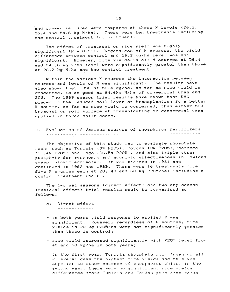and commercial urea were compared at three N levels (28.2, 56.4 and 84.6 kg N/ha). There were ten treatments including one control treatment (no nitrogen).

The effect of treatment on rice yield was highly significant (P = 0.01). Regardless of N sources, the yield difference between control and 28.2 kg/ha level was not significant. However, rice yields in all N sources at 56.4 and 84 .6 kg N/ha level were significantly greater than those at 28.2 kg N/ha and the control treatment.

Within the various N sources the interaction between sources and levels of N was significant. The results have also shown that USG at 56.4 kg/ha, as far as rice yield is concerned, is as good as 84.6kg N/ha of commercial urea and The 1983 season trial results have shown that USG SCU. placed in the reduced soil layer at transplanting is a better N source, as far as rice yield is concerned, than either SCU broacast on soil surface at transplanting or commercial urea applied in three split doses.

3. Evaluation of Various sources of phosphorus fertilizers was advanced a mercedic concerned a consequence exception and concerned a series

The objective of this study was to evaluate phosphate rocks such as Tunisia (3% P205), Jordan (3% P205), Morocco (33.4% P205) and Togo (36.5% P205), and also triple super phosphate for agronomic and aconomic effectiveness in lowland swamp (Gléyic acrisols). It was started in 1981 and continued in 1982 and 1983. There were 16 treatments (i.e. five P sources each at 20, 40 and 60 kg P205/ha) including a control treatment (no P).

The two wet seasons (direct effect) and two dry season (residual effect) trial results could be summarised as follows:

- a) Direct effect <u> - - - - - - - - - - - - -</u>
- in both years yield response to applied P was significant. However, regardless of P sources, rice yields in 20 kg P205/ha were not significantly greater than those in control;
- rice yield increased significantly with P205 level from 40 and 60 kg/ha in both years;

in the first year, Tunisia phosphate rock (mean of all P levels) gave the highest rice yields and this was superior to other sources of phosphorus while, in the second year, there were no significant rice vields differences among Tunisia and Jordan phosinate recks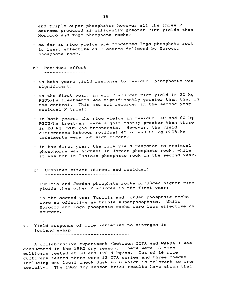and triple super phosphate; however all the three .P sources produced significantly greater rice yields than Morocco end Togo phosphate rocks;

- as fer as *rice yields* are concerned Togo phosphate rock is least effective as P source followed by Morocco phosphate rock.
- b) Residual effect \_\_\_\_\_\_\_\_\_\_\_\_\_\_\_\_
- in both years yield response to residual phosphorus was significant;
- in the first year, in all P sources rice yield in 20 <mark>kg</mark> P20S/ha treatments was significantly greater than that in the control. This was not recorded *in* the second year residual P trial;
- in both years. the *rice* yields in residual 40 and 60 kg P20S/he treatment were significantly greater than those in 20 kg P205 /ha treatments. However, the yield differences between residual 40 kg and 60 kg P205/ha treatments were not significant:
- *- in* the first year. the rice *yield* response to residual phosphorus was highest in Jordan phosphete rock. while it was not in Tunisia phosphate rock in the second year.
- c) Combined effect (direct and residual)
- Tunisia and Jorden phosphate rocks produced higher rice yields than other P sources in the first year;
- *- in* the second year Tunisia end Jordan phosphete rocks were as effective as triple superphosphate. While Morocco and Togo phosphate rocks were less effective as <sup>f</sup> sources.
- 4. Yield response *of* rice varieties to nitrogen in lowland swamp

A collaborative experiment (between IITA and WARDA ) was conductecd in the 1982 dry season. There were 16 rice cultivars tested at 60 and 120 N kg/ha. Out of 16 rice cultivars tested there were 13 ITA series and three checks including one local check Suakoko 8 which *is* tolerent to iron toxicity. The 1982 dry season trial results heve shown that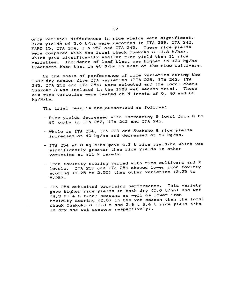only varietal differences in rice yields were significant. Rice yields of 5.0 t/ha were recorded in ITA 239, ITA 242, FARO 15, ITA 254, ITA 252 and ITA 245. These rice yields were compared with the local check Suakoko 8 (3.8 t/ha), which gave significantly smaller rice yield than 11 rice varieties. Incidence of leaf blast was higher in 120 kg/ha treatment than that *in* 60 N/ha in most of the rice cultivara.

On the basis of performance of rice varieties during the 1982 dry season *five* ITA varieties (ITA 239, ITA 242, ITA 245, ITA 252 and ITA 254) were selected and the local check Suakoko 8 was included in the 1983 wet season trial. These six rice varieties were tested at N levels of 0, 40 and 80 kg/N/ha.

The trial results are summarized as follows:

- Rice yields decreased with increasing N level from 0 to 80 kg/ha in ITA 252, ITA 242 and ITA 245.
- While in ITA 254, ITA 239 and Suakoko 8 rice yields increased at 40 kg/ha and decreased at 80 kg/ha.
- ITA 254 at 0 kg N/ha *gave* 4.3 trice yield/ha which was significantly greater than rice yields in other *varieties at all N levels.*
- Iron toxicity scoring varied with rice cultivars and N levels. ITA 239 and ITA 254 showed lower iron toxicty scoring (1.25 to 2.50) than other *varieties* (3.25 to 5.25).
- ITA 254 exhibited promising performance. This variety gave higher rice yields in both dry (5.0 t/ha) and wet (4.3 to 4.8 t/ha) seasons as well as lower iron toxicity scoring (2.0) *in* the wet season than the local check Suakoko 8 (3.8 t and 2.8 t 3.4 t rice yield t/ha in dry and wet seasons respectively).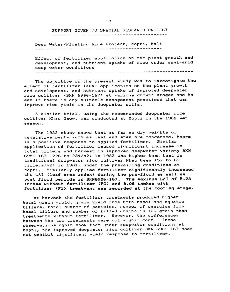SUPPORT GIVEN TO SPECIAL RESEARCH PROJECT 

Deep Water/Floating Rice Project, Mopti, Mali

Effect of fertilizer application on the plant growth and development, and nutrient uptake of rice under semi-arid deep w~ter conditions

The objective of the present study was to investigate the effect of fertilizer (NPK) application on the plant growth and development, and nutrient uptake of improved deepwater rice cultivar (BKN 6986-167) at various growth stages and to see if there is any suitable management practices that can improve rice yield in the deepwater soils.

A similar trial, using the recommended deepwater rice cultivar Khao Gaew, was conducted at Mopti in the 1981 wet season.

The 1983 study shows that as far as dry weights of vegetative parts such as leaf and stem are concerned, there is a positive response to applied fertilizer. Similar application of fertilizer caused significant increase in total tillers and harvest in improved deepwater variety BKN 6986-167 (226 to 234/m2) in 1983 was higher than that in traditional deepwater rice cultivar Khao Gaew (57 to 62 tillers/m2) in 1981, under the prevailing conditions at Mopti. Similarly applied fertilizer significantly increased the LAI (leaf area index) during the pre-flood as well as post flood periods in BKN6986-167. The maximum LAI of 5.28 inches without fertilizer (FO) and 8.08 inches with fertilizer (F1) treatment was recorded at the booting stage.

At harvest the fertilizer treatments produced higher total grain yield, grain yield from both basal and aquatic tillers, total number of panicles, number of panicles from basal tillers and number of filled grains in 100-grain than treatments without fertilizer. However, the differences between the two treatments were not significant. These observations again show that under deepwater conditions at Mopt!, the improved deepwater *rice* cultivar BKN 6986-167 does not exhibit significant yield response to fertilizer.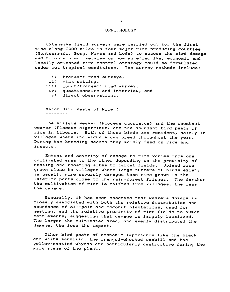#### ORNITHOLOGY

-----------

Extensive field surveys were carried out for the first time along 3000 miles in four major rice producing counties (Montserrado, Bong, Nimba and Lofa) to assess the bird damage and to obtain an overview on how an effective, economic and locally oriented bird control strategy could be formulated under wet tropical conditions. The survey methods include:

- i) transect road surveys,
- ii) mist netting.
- iii) count/transect road survey,
- *iv)* questionnaire and interview. and
- v) direct observations.

MaJor Bird Pests of Rice :

The village weaver (Ploceus cuculatus) and the chestnut weaver (Ploceus nigerrimus) are the abundant bird pests of rice *in* Liberia. Both of these birds are resident, mainly in villages where individuals can breed throughout the year. During the breeding season they mainly feed on rice and insects.

Extent and severity of damage to rice varies from one cultivated area to the other depending on the proximity of nesting and roosting sites to target fields. Upland rice grown close to villages where large numbers of birds exist, is usually more severely damaged than rice grown *in* the interior parts close to the rain-forest fringes. The farther the cultivation of rice is shifted from villages, the less the damage.

Generally. it has been observed that weavers damage is closely associated with both the relative distribution and abundance of oil-palm and coconut plantations, used for nesting, and the relative proximity of rice fields to human settlements. suggesting that damage is largely localized. The larger the cultivated area, and evenly distributed the damage. the less the impact.

Other bird pests of economic importance *like* the black and white mannikin, the oranged-cheeked waxbill and the yellow-mantled whydah are particularly destructive during the milk stage of the plant.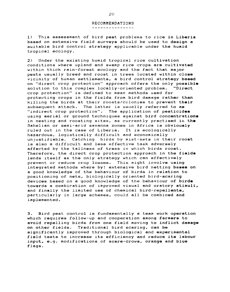## RECOMMENDATIONS

---------------

1) This assessment o£ bird pest problems to rice in Liberia based on extensive *£ield* surveys should be used to design a suitable bird control strategy applicable under the humid tropical ecology.

2) Under the existing humid tropical rice cultivation conditions where upland and swamp rice crops are cultivated within thick rain-forest ecology and the fact that major pests usually breed and roost in trees located within close vicinity of human settlements, a bird control strategy based on "direct crop protection" approach offers the only posaible solution to this complex locally-oriented problem. "Direct crop protection" is defined to mean methods used for protecting crops in the fields from bird damage rather than killing the birds at their roosts/colonies to prevent their subsequent attack. The latter is usually referred to as "indirect crop protection". The application of pesticides using aerial or ground techniques against bird concentrations in nesting and roosting sites, as currently practised in the Sahel ian or semi-arid savanna zones *in* Africa is obviously ruled out in the case of Liberia. It is ecologically hazardous. logistically difficult and economically unJustifiable. Catching birds by mist-nets in their roost is also a difficult and less effective task adversely affected by the tallness of tress in which birds roost. Therefore, the direct crop protection approach in the fields lends itself as the *only* strategy which can effectively prevent or reduce crop losses. This might involve using integrated methods where by: extensive bird netting baaes on a good knowledge o£ the behaviour of birds in relation to positioning of nets. biologically oriented bird-scaring devices based on a good knowledge of the behaviour of birds towards a combiration of improved visual and oratory stimuli, and finally the limited use of chemical bird-repellents, particularly in large schemes. could all be combined and implemented.

3. Bird pest control is fundamentally a team work operation which requires follow-up and cooperation among farmers to avoid repelling birds from one field moving to inflict damage on other fields. Traditional bird scaring, can be significantly improved through biological and experimental £ield tests to increase its e£ficiency and reduce its labour input. e.g. modifications of scare-crows, orange and blue flags.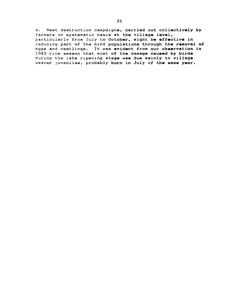4. Nest destruction campaigns, carried out collectively by farmers on systematic basis at the village level, particularly from July to October, might be effective in reducing part of the bird populations through the removal of eggs and nestlings. It was evident from our observation in 1983 rice season that most of the damage caused by birds during the late ripening stage was due mainly to village weaver juveniles, probably born in July of the same year.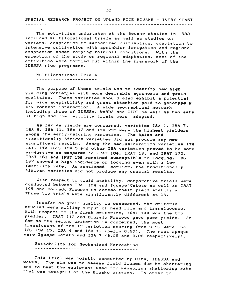SPECIAL RESEARCH PROJECT ON UPLAND RICE BOUAKE - IVORY COAST 

The activities undertaken at the Bouake station in 1983 included multilocational trials as well as studies on varietal adaptation to mechanized cultivation. odaptotion to intensive cultivation with sprinkler irrigation and regional adaptation under varying rainfall conditions. With the exception of the study on regional adaptation, most of the activities were carried out within the framework of the IDESSA rice programme.

Multilocational Trials

The purpose of these trials was to identify new high yielding varieties with more desirable agronomic and grain qualities. These varieties should also exhibit a potential for wide adaptability and great attention paid to genotype x environment interaction. A wide geographical network including those of IDESSA. WARDA and ClOT as well as two sets of high and low fertility trials were adopted.

As far as yields are concerned, varieties ISA 1, ISA 7, 15A 9, ISA 11, ISA 13 and ITA 235 were the highest yielders among the early-maturing varieties. The Asian and 'Inditionally African varieties did not produce any new significant results. Among the medium-duration varieties ITA 141, ITA 162, ISA & end other ISA varieties proved to be more preductive as compared to IRAT 104, IRAT 13, and IRAT 170. IRAT 161 and IRAT 156 remained susceptible to lodging. BG 187 showed a high incidence of lodging even with a low fertility rate. As mentioned earlier, the traditionally African varieties did not produce any unusual results.

With respect to yield stability, comparative trials were conducted between IRAT 104 and Iguape Cateto as well as IRAT 109 and Dourado Precoce to assess their yield stability. These two trials were significantly different at 1%.

Insofar as grain quality is concerned, the criteria studied were milling output of head rice and translucence. With respect to the first criterion, IRAT 144 was the top yielder. IRAT 112 and Dourado Precoce gave poor yields. As far as the second criterion is concerned, the most translucent of the 19 varieties scoring from 0-9. were ISA 13. ISA 15, ISA 4 and ISA 17 (below 0.60). The most opaque were Iguape Cateto and ISA 7 (3.05 and 3.08 respectively).

Suitability for Mechanized Harvesting -. ----- -------"---- -- - -- ---' ---- - -------

This triel was jointly conducted by CIMA. IDESSA and WARDA. The aim was to assess field losses due to shattering and to test the equipment used for measuring shattering rate that was designed at the Bouake station. In order to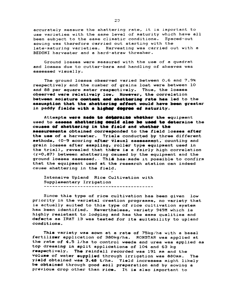accurately measure the shattering rate, it is important to use varieties with the same level of maturity which have all been subject to the same climatic conditions. Spaced-out sowing was therefore carried out starting with the late-maturing varieties. Harvesting was carried out with a BEDONI harvester and a hard-straw thresher.

Ground losses were measured with the use of a quadrat and losses due to cutter-bars and handling of sheaves was assessed visually.

The ground losses observed varied between 0.6 and 7.9% respectively and the number of grains lost were between 10 and 88 per square meter respectively. Thus, the losses observed were relatively low. However, the correlation between moisture content and shattering rate has led to the assumption that the shattering effect would have been greater in paddy fields with a higher degree of maturity.

Attempts were made to determine whether the equipment used to assess shattering could also be used to determine the causes of shettering in the field and whether the measurements obtained corresponded to the field losses after the use of a harvester. Trials conducted by three different methods, (0-9 scoring after visual assessment, counting and grain losses after sampling, roller type equipment used in the trial), revealed that there is a fairly high correlation (r=0.87) between shattering caused by the equipment and the ground losses assessed. This has made it possible to confirm that the equipment used at the research station can indeed cause shattering in the field.

Intensive Upland Rice Cultivation with Supplementary Irrigation 

Since this type of rice cultivation has been given  $1<sub>ow</sub>$ priority in the varietal creation programme, no variety that is actually suited to this type of rice cultivation system has been identified. Nevertheless, variety 949M which is highly resistant to lodging and has the same qualities and defects as IRAT 13 was tested for its suitability to upland conditions.

This variety was sown at a rate of 75kg/ha with a basal fertilizer application of 380kg/ha. RONSTAR was applied at the rate of 4.5 l/ha to control weeds and urea was applied as top dressing in split applications of 104 and 63 kg respectively. The rainfall recorded was 191 mm and the volume of water supplied through irrigation was 880mm. The yield obtained was 3.48 t/hs. Yield increases might likely be obtained through good soil preparation and by sowing a previous crop other than rice. It is also important to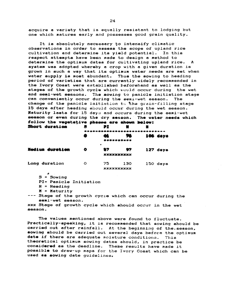acquire a variety that is equally resistant to lodging but one which matures early and possesses good grain quality.

It is absolutely necessary to intensify climatic observations in order to assess the scope of upland rice cultivation and determine its yield potential. In this respect attempts have been made to design a method to determine the optimum dates for cultivating upland rice.  $\mathbf{A}$ system was adopted whereby a crop with a given duration is grown in such a way that its optimum water needs are met when water supply is most abundant. Thus the sowing to heading period of varieties that are currently widely recommended in the Ivory Coast were established beforehand as well as the stages of the growth cycle which would occur during the wet and semi-wet seasons. The sowing to panicle initiation stage can conveniently occur during the semi-wet season. The change of the panicle initiation to the grain-filling stage 15 days after heading should occur during the wet season. Maturity lasts for 15 days and occurs during the semi-wet season or even during the dry season. The water needs which follow the vegetative phases are shown below: Short duration 急 PZ :  $\blacksquare$ n

|                 | --------------------   |                 |     |  |          |  |
|-----------------|------------------------|-----------------|-----|--|----------|--|
|                 |                        |                 | 76. |  | 106 days |  |
|                 | <b><i><u></u></i></b>  |                 |     |  |          |  |
| Medium duration | O                      | $\bullet$<br>17 | 57  |  |          |  |
|                 | 127 days<br>XXXXXXXXXX |                 |     |  |          |  |
| Long duration   | $\circ$                | 75              | 130 |  | 150 days |  |
|                 | <b>XXXXXXXXXX</b>      |                 |     |  |          |  |

- $S = Sowing$
- PI= Panicle Initiation
- $H =$  Heading
- $M =$  Maturity
- --- Stage of the growth cycle which can occur during the semi-wet season.

xxx Stage of growth cycle which should occur in the wet season.

The values mentioned above were found to fluctuate. Practically-speaking, it is recommended that sowing should be carried out after rainfall. At the beginning of the season, sowing should be carried out several days before the optimum date if there are adequate moisture conditions. This theoretical optimum sowing dates should, in practice be considered as the deadline. These results have made it possible to draw-up maps for the Ivory Coast which can be used as sowing date quidelines,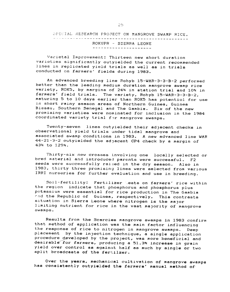## SPECIAL RESEARCH PROJECT ON MANGROVE SWAMP RICE. ROKUPR - SIERRA LEONE ----------------------

Varietal Improvement: Thirteen new short duration varieties significantly outyielded the current recommended lines in replicated yield trials as well as in trials conducted on farmers' fields during 1983.

An advanced breeding line Rohyb 15-WAR-3-3-B-2 performed better than the leading medium duration mangrove swamp rice variety. ROK5, by margins of 24% *in* station trial and 10% in farmers' field trials. The variety, Rohyb 15-WAR-3-3-B-2. maturing 5 to 10 days earlier than ROK5 has potentiol for use in short rainy season areas of Northern Guinea, Guinea Bissau. Southern Senegal and The Gambia. Six of the new promising varieties were nominated for inclusion in the 1984 coordinated variety trial for mangrove swamps.

Twenty-seven lines out *<sup>y</sup> ielded* their adJacent checks in observational yield trials under tidal mangrove and associated swamp conditions in 1983. A new advanced line WAR 44-21-3-2 outyielded the adjacent CP4 check by a margin of 43% to 129%.

Thirty-six new crosses involving one locally selected or bred material and introduced parents were successful. F2 seeds were successfully raised in the dry season. Also in 1983, thirty three promising lines were selected from various IRRI nurseries for further evaluation and use in breeding.

Soil-fertility: Fertilizer Lests on farmers' rice within the region indicate thot phosphorus and phosphorus plus potassium were essential for rice production in The Gambia rn d the Republic of Guinea, respectively. *This* contrasts situation in Sierra Leone where nitrogen *is* the maJor limiting nutrient for rice in the vast majority of mangrove swamps.

Results from the 5carcies mangrove swamps in 1983 confirm that method of application was the main factor influencing the response of rice to nitrogen in mangrove swamps. Deep acement by the inJection technique, a single application procedure developed by the project, was more beneficial and desirable for farmers, producing a 51.3% increase in grain yield over control as against half as much by single or two split broadcasts of the fertilzer.

Over the years, mechanical cultivation of mangrove swamps has consistently outyielded the farmers' manual method of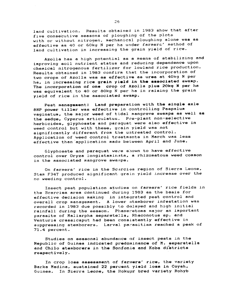land cultivation. Results obtained in 1983 show that after five consecutive seasons of ploughing of the plots with or without nitrogen, mechanical ploughing alone was as effective as 40 or 60kg N per ha under farmers' method of land cultivation in increasing the grain yield of rice.

Azolla has a high potential as a means of stabilizing and improving soil nutrient status and reducing-dependence upon chemical nitrogenous fertilizer for lowland rice production. Results obtained in 1983 confirm that the incorporation of two crops of Azolla was aa effective as urea at 40kg N per ha, in increasing rice grain yield in the associated swamp. The incorporation of one crop of Azolla plus 20kg N per ha was equivalent to 40 or 80kg N per ha in raising the grain yield of rice in the associated swamp.

Pest management: Land preparation with the single axle 8HP power tiller was effective in controlling Paspalum vaginatum, the maJor weed of tidal mangrove swamps as well aa the sedge, Cyperus articulatus. Pre-plant non-selective herbicides, glyphosate and paraquat were also effective in weed control but with these, grain yield was not significantly different from the untreated control. Application of weed control treatments in March was less effective than 'application made between April and June.

Glyphosate and paraquat were shown to have effective control over Oryza longistaminata, a rhizomatous weed common in the associated mangrove swamps.

On farmers' rice in the Scarcies region of Sierra Leone, Stam F34T produced significant grain yield increase over the no weeding control.

Insect pest population studies on farmers' rice fields in the Scarcies area continued during 1983 as the basis for effective decision making in integrated pest control and overall crop management. A lower stemborer infestation was recorded in 1983 due possibly to delayed and high initial rainfall during the season. Phaneretoma major an important parasite of Maliarpha separatella, Rhaconotus sp. and Venturia crassicaput had been conslstently effective in suppressing stemborers. Larval parasitism reached a peak of 71.4 percent.

Studies on seasonal abundance of insect pests in the Republic of Guinea indicated predominance of M. separatella and Chilo stemborers in the Sonfonia and Koba districts reapectively.

In crop loss assessment of farmers' rice, the variety Barka Madina, sustained 22 percent *yield* loaa in Coyah. Guinea. In Sierra Leone, the Rokupr bred variety Rohyb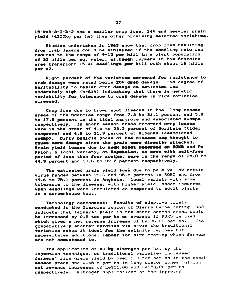15-WAR-3-3-B-2 had a smaller crop loss, 14% and heavier grain vield (4350kg per ha) than other promising selected varieties.

Studies undertaken in 1983 show that crop loss resulting from crab damage could be minimized if the seedling rate was reduced to the range of 9-15 per hill in a plant population of 32 hills per sq. meter, although farmers in the Scarcies area transplant 15-40 seedlings per hill with about 16 hills  $per$  $n2.$ 

Eight percent of the varieties screened for resistance to crab damage were rated below 20% creb damage. The degree of heritability to resist crab demage as estimated was moderately high (h=61%) indicating that there is genetic variability for tolerance to crab damage in rice varieties screened.

Crop loss due to brown spot disease in the long season areas of the Scarcies range from 7.3 to 31.1 percent and 5.8 to 17.6 percent in the tidal mangrove and associated swamps respectively. In short season areas recorded crop losses were in the order of 4.4 to 23.2 percent of Moribaia (tidal mangrove) and 4.6 to 31.9 percent at Kibanka (associated swemp). Dirty penicle phase of the disease was thought to cause more demage since the grain were directly attacked. Grain yield losses due to negk blast recorded on ROKS and Pa Nylon, a local variety, at Napotolon, an area with salt-free period of less than four months, were in the range of 28.0 to 44.3 percent and 19.6 to 32.2 percent respectively.

The estimated grain yield loss due to pale yellow mottle virus ranged between 29.6 and 95.8 percent in ROK5 and from 19.6 to 75.1 percent in Angkata, local variety with some tolerance to the disease, with higher yield losses incurred when seedlings were inoculated as compared to adult plants in a screenhouse test.

Technology assessment: Results of adaptive trials conducted in the Scarcies region of Sierra Leone during 1983 indicate that farmers' yield in the short season areas could be increased by 0.6 ton per ha on average if ROK5 is used which gives a net revenue increase of Le186.00 per ha. Its comparatively shorter duration vis-a-vis the traditional varieties makes it ideal for the salinity regimes but necessitates additional labour for bird scaring which farmers are not accustomed to.

The application of 40 kg nitrogen per ha, by the injection technique, on traditional varieties increased farmers' rice grain yield by over 1.0 ton per ha in the short season areas and 0.45 t per ha in long season zones, giving net revenue increases of Le351.00 and Le150,00 per ha respectively. Nitrogen applications or the improved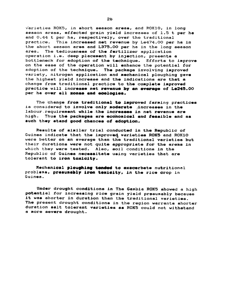varieties ROK5, in short season areas, and ROK10, in long season areas, effected grain yield increases of 1.5 t per ha and 0.44 t per ha, respectively, over the traditional practice. This increased net revenue by Le474.00 per ha in the short season area and L375.00 per ha in the long season area. The tediousness of the fertilizer application operation i.e. deep placement by injection, presents a bottleneck for adoption of the technique. Efforts to improve on the ease of the operation will enhance the potential for adoption of the technique. The package involving improved variety, nitrogen application and mechanical ploughing gave the highest yield increase and the indications are that a change from traditional practice to the complete improved practice will increase net revenue by an everage of Le245.00 per ha over all zones and ecologies.

The change from traditional to improved farming practices is considered to involve only moderate increases in the labour requirement while the increases in net revenue are high. Thus the packages are economical and feasible and as such they stand good chances of adoption.

Results of similar trial conducted in the Republic of Guinea indicate that the improved varieties ROK5 and ROK10 were better on an average than the traditional varieties but their durations were not quite appropriate for the areas in which they were tested. Also, soil conditions in the Republic of Guinea necessitate using varieties that are tolerant to iron toxicity.

Mechanical ploughing tended to exacerbate nutritional problems, presumebly iron temicity, in the rice crop in Guinea.

Under drought conditions in The Gambia ROK5 showed a high potential for increasing rice grain yield presumably because it was shorter in duration than the traditional varieties. The present drought conditions in the region warrants shorter duration salt tolerant varieties as ROK5 could not withstand a more severe drought.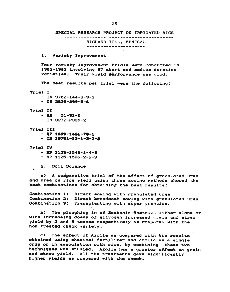SPECIAL RESEARCH PROJECT ON IRRIGATED RICE RICHARD-TOLL, SENEGAL 

Variety Improvement 1.

Four variety improvement trials were conducted in 1982-1983 involving 67 short and medium duration varieties. Their yield performance was good.

The best results per trial were the following:

- Trial I
	- IR 9782-144-3-3-3
	- $-$  IR 2822-299-5-6
- Trial II
	- $BR$  $51 - 91 - 6$
	- IR 3272-P339-2
- Trial III
	- $RP$  1899-1481-78-1
	- IR 19791-12-1-2-2-2
- Triel IV
	- $-$  RP 1125-1548-1-4-3 - RP  $1125 - 1526 - 2 - 2 - 3$
	- 2. Soil Science

a) A comparative trial of the effect of granulated urea and urea on rice yield using three sowing methods showed the best combinations for obtaining the best results:

Combination 1: Direct sowing with granulated urea Combination 2: Direct broadcast sowing with granulated urea Combination 3: Transplanting with super granules.

**כ** The ploughing in of Sesbania Rostrata aither alone or with increasing doses of nitrogen increased grain and straw yield by 2 and 3 tonnes respectively as compared with the non-treated check variety.

c) The effect of Azolla as compared with the results obtained using chemical fertilizer and Azolla as a single crop or in association with rice, by combining these two techniques was studied. Azolla has a greater effect on grain and straw yield. All the treatments gave significantly higher yields as compared with the check.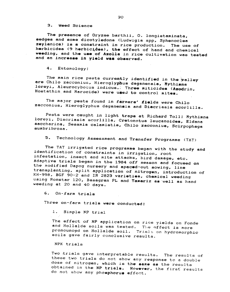#### $3.$ Weed Science

The presence of Oryzae barthii, O. longistaminata, sedges and some dicotyledons (Ludwigia spp, Sphenoclea zeylanica) is a constraint in rice production. The use of herbicides (9 herbicides), the effect of hand and chemical weeding, and the use of Azolla in rice cultivation was tested and an increase in yield was observed.

 $4.$ Entomology:

The main rice pests currently identified in the walley are Chilo zacconius, Hieroglyphus daganensis, Nythimna loreyi, Aleurocybotus indicus. Three miticides (Azodrin, Hostathin and Marocide) were used to control mites.

The major pests found in farmers' fields were Chilo zacconius, Hieroglyphus daganensis and Diacriasia scorlilla.

Pests were caught in light traps at Richard Toll: Mythimna loreyi, Diacriasia scorlilla, Cretonotus leucanoides, Eldana saccharina, Sesamia calamistis, Chilo zacconius, Scirpophaga sumbribrosa.

Technology Assessment and Transfer Programme (TAT)  $5.$ 

The TAT irrigated rice programme began with the study and identification of constraints in irrigation, root infestation, insect and mite attacks, bird damage, etc. Adaptive trials began in the 1984 off season and focused on the modified Dapog nursery and spaced-out sowing, line transplanting, split application of nitrogen, introduction of KH-998, BGF 90-2 and IR 2823 varieties, chemical weeding using Ronstar 120, Basagran PL and Tamariz as well as hand weeding at 20 and 40 days.

6. On-farm trials

Three on-farm trials were conducted:

Simple NP trial  $\mathbf{1}$ .

The effect of NP application on rice yields on Fonde and Hollalde soils was tested. The effect is more pronounced on Hollalde soil. Trials on hydromorphic soils gave fairly conclusive results.

NPK trials

Two trials gave interpretable results. The results of these two trials do not show any response to a double dose of nitrogen, which is the same as the results obtained in the NP trials. However, the first results do not show any phosphorus effect.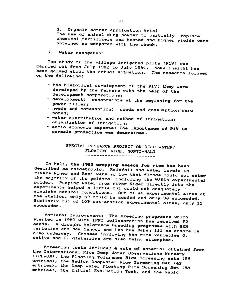Organic matter application trial 3. The use of animal dung powder to partially replace chemical fertilizers was tested and higher yields were obtained as compared with the check.

## 7. Water management

The study of the village irrigated plots (P1V) was carried out from July 1982 to July 1984. Some insight has been gained about the actual situation. The research focused on the following:

- the historical development of the P1V: they were developed by the farmers with the help of the development corporations;
- development: constraints at the beginning for the power-tiller:
- needs and consumption: needs and consumption were noted;
- water distribution and method of irrigation;
- organization of irrigation;
- socio-economic aspects: The importance of P1V in cereals production was determined.

SPECIAL RESEARCH PROJECT ON DEEP WATER/ FLOATING RICE, MOPTI-MALI ------------------------

In Mali, the 1983 cropping season for rice has been described as catastropic. Rainfall and water levels in rivers Niger and Bani were so low that floods could not enter the majority of the polders including the WARDA experimental . polder. Pumping water from river Niger directly into the experiments helped a little but could not adequately simulate natural conditions. Out of 46 experimental sites at the station, only 42 could be seeded and only 38 succeeded. Similarly out of 109 out-station experimental sites, only 11 succeeded.

Varietal Improvement: The breeding programme which started in 1983 with IRRI collaboration has received F2 seeds. A drought tolerance breeding programme with BKN varieties and Nam Sangui and Leb Mue Nahag 111 as donors is also underway. Crosses invloving the rice varieties O. sativa and O. glaberrima are also being attempted.

Screening tests included 4 sets of material obtained from the International Rice Deep Water Observations Nursery (IRDWON), the Floating Tolerance Rice Screening sets (55 entries), the Medium Deepwater Rice Screening Set (42 entries), the Deep Water Floating Rice Screening Set (58 entries), the Initial Evaluation Test, and the Rapid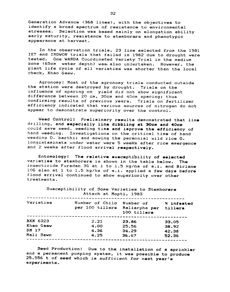Generation Advance (368 lines), with the objectives to identify a broad spectrum of resistance to environmental stresses. Selection was based mainly on elongation ability early maturity, resistance to stemborars and phenotypic appearance at harvest.

In the observation trials, 23 line selected from the 1981 lET and IRDWON trials that failed in 1982 due to drought were tested. One WARDA Coordinated Variety Trial in the medium zone (65cm water depth) was also undertaken. However, the plant life cycle of all varieties was shorter than the local check, Khao Gaew.

Agronomy: Most of the agronomy trials conducted outside the station were destroyed by drought. Trials on the influence of spacing on yield did not show significant difference between 20 cm, 30cm and 40cm spacing; thus confirming results of previous years. Trials on "fertilizer efficiency indicated that various sources of nitrogen do not appear to demonstrate superiority over the control.

Weed Control: Preliminary results demonstrated that line<br>drilling, and especially line dibbling at 30cm and 40cm drilling, and especially line dibbling at 30cm and 40cm<br>could save seed, weeding time and improve the efficiency of<br>hand weeding. Investigations on the critical time of hand Investigations on the critical time of hand weeding O. barthii and mowing the perennial wild rice O. longistaminata under water were 5 weeks after rice emergence and 2 weeks after flood arrival respectively.

Entomology: The reletive susceptibility o£ selected varieties to stemborers is shown in the table below. The insecticide Furadan 3G at 1 to 1.5 kg/ha of a.i. and Birlane lOG also at 1 to 1.5 kg/ha of a.i. applied a few days before *flood* arrival continued to show superiority over other treatments.

| Susceptibility of Some Varieties to Stemborers<br>Attack at Mopti, 1983 |                                    |                                                              |                                  |  |
|-------------------------------------------------------------------------|------------------------------------|--------------------------------------------------------------|----------------------------------|--|
| Varieties                                                               | Number of Chilo<br>per 100 tillers | Number of 3 infested<br>Maliarpha per tillers<br>100 tillers |                                  |  |
| <b>BKN 6323</b><br>Khao Gaew<br>DM 17<br>Mali Sawn                      | 2.21<br>4.00<br>4.36<br>4.25       | ---------------------<br>23.86<br>25.56<br>34.29<br>36.67    | 33.05<br>38.92<br>42.38<br>52.38 |  |

Seed Production: Due to the installation of a sprinkler and a permanent pumping system, it was possible to produce 25.556 t of seed which is sufficient for next year's experiments.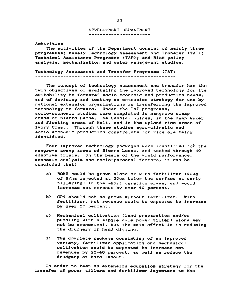### DEVELOPMENT DEPARTMENT

Activities

The activities of the Department consist of mainly three programmes; namely Technology Assessment and Tranafer (TAT); Technical Assistance Programme (TAP); and Rice policy analysis, mechanization and water management studies.

Technology Assessment and Transfer Programme (TAT) 

The concept of technology assessment and transfer has the twin objectives of evaluating the improved technology for its suitability to farmers' socio-economic and production needs, and of devising and testing an extension strategy for use by. national extension organizations in transferring the improved technology to farmers. Under the TAT programme, socio-economic studies were completed in mangrove swamp areas of Sierra Leone, The Gambia, Guinea, in the deep water and floating areas of Mali, and in the upland rice areas of Ivory Coast. Through these studies agro-climatic and socio-economic production constraints for rice are being identified.

Four improved technology packages were identified for the mangrove swamp areas of Sierra Leone, and tested through 40 adaptive trials. On the basis of the yield performance, economic analysis and socio-personal factors, it can be concluded that:

- $a$ ) ROK5 could be grown alone or with fertilizer (40kg of N/ha injected at 20cm below the surface at early tillering) in the short duration areas, and would increase net revenue by over 40 percent.
- **b**) CP4 should not be grown githout fertilizer. With fertilizer, net revenue could be expected to increase by over 50 percent.
- $\mathbf{c}$ Mechanical cultivation (land preparation and/or puddling with a single axle power tiller) alone may not be economical, but its main effect is in reducing the drudgery of hand digging.
- $d$ The chaplete package consisting of an improved variety, fertilizer application and mechanical cultivation could be expected to increase net revenues by 25-40 percent, as well as reduce the drudgery of hard labour.

In order to test an extension education strategy for the transfer of power tillers and fertilizer injectors to the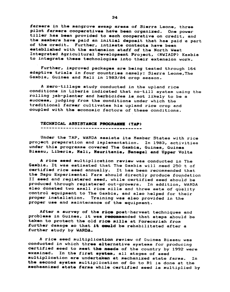farmers in the mangrove swamp areas of Sierra Leone, three pilot farmers cooperatives have been organized. One power tiller has been provided to each cooperative on credit, and the members have paid an initial deposit that has paid a part of the credit. Further, intimate contacts have been established with the extension staff of the North West Integrated Agricultural Development Project, (NWIADP) Kambia to integrate these technologies into their extension work.

Further, improved packages are being tested through 164 adaptive trials in four countries namely: Sierra Leone, The Gambia, Guinea and Mali in 1983/84 crop season.

A zero-tillage study conducted in the upland rice conditions in Liberia indicated that no-till system using the rolling jab-planter and herbicides is not likely to be a success, judging from the conditions under which the traditional farmer cultivates his upland rice crop and coupled with the economic factors of these conditions.

#### TECHNICAL ASSISTANCE PROGRAMME (TAP)

Under the TAP, WARDA assists its Member States with rice project preparation and implementation. In 1983, activities under this programme covered The Gambia, Guinea, Guinea Bissau, Liberia, Mali, Mauritania, Senegal and Upper Volta

A rice seed multiplication review was conducted in The Gambia. It was estimated that The Gambia will need 250 t of certified rice seed annually. It has been recommended that the Sapu Experimental Farm should directly produce foundation II seed and registered seed, while certified seed should be produced through registered out-growers. In addition, WARDA also donated two small rice mills and three sets of quality control equipment to The Gambia, and also helped for their proper installation. Training was also provided in the proper use and maintenance of the equipment.

After a survey of the rice post-harvest techniques and problems in Guinea, it was recommended that steps should be taken to protect the old rice mills at Forecariah from further damage so that it could be rehabilitated after a further study by WARDA.

A rice seed multiplication review of Guinea Bissau was conducted in which three alternative systems for producing certified seed to meet the needs of the country by 1992 were In the first system, all stages of seed examined. aultiplication are undertaken at mechanized state farms. In the second system multiplication of Go to R1 is done at the mechaanized state farms while certified seed is multiplied by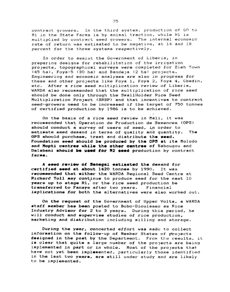contract growers. In the third system, production of GO to R1 in the State Farms is by animal traction. while H1 is multiplied by contract seed growers. The internal economic rate df return was estimated to be negative. at 14 and 18 percent for the three systems respectively.

In order to assist the Government of Liberia, *in*  preparing designs for rehabilitation of the irrigation proJects, topographical surveys were completed for Zleh Town (45 ha), Foya-5 (30 ha) and Bandeja (2 ha) projects. Enginsering and economic analyses are also in progress for these and other projects like Foya 1. Foya 2. Foya 4. Gbedin. etc. 'After a *rice* seed multiplication review of Liberia. WARDA also recommended that the multiplication of rice seed should be done only through the SmallHolder Rice Seed Multiplication Project (SRSP) and that incentives to contract seed-growers need to be increased if the target of 750 tonnes of certified production by 1986 is to be achieved.

On the basis of a rice seed review in Mali, it was recommended that Operation de Production de Semences (OPS) should conduct a survey of users of seed, in order to estimate seed demand in terms of quality and quantity. The OPS should purchase, treat and distribute the seed. Foundation seed should be produced by the OPS at its Molodo and Mopti centres while the other centres of Babougou and Dalabani should be used for R2 seed production by contract farms.

A seed review of Senegal estimated the demand for certified seed at about 1420 tonnes by 1990. It was recommended that either the WARDA Regional Seed Centre at Richard Toll may continue to produce seed for the next 10 **years up to stage R1,** or the rice seed production be transferred to Faneye after two years. Financial ixplications for both the alternatives were also worked out.

On the requeat of the Government of Upper Volta, a WARDA staff aeaber has been posted to Bobo-Dioulasso as Rice Industry Advisor for 2 to 3 years. During this period, he will conduct and supervise studies of rice production, marketing and distribution including milling and storage.

During the year. concerted effort was made to collect information on the follow-up of Member States of projects designed in the past by the Department. From the results, it is clear that quite a large number of the projects are being implemented in part or in whole. Most of the projects that have not yet been implemented, particularly those identified in the last two years, are still under study and are likely to be implemented.